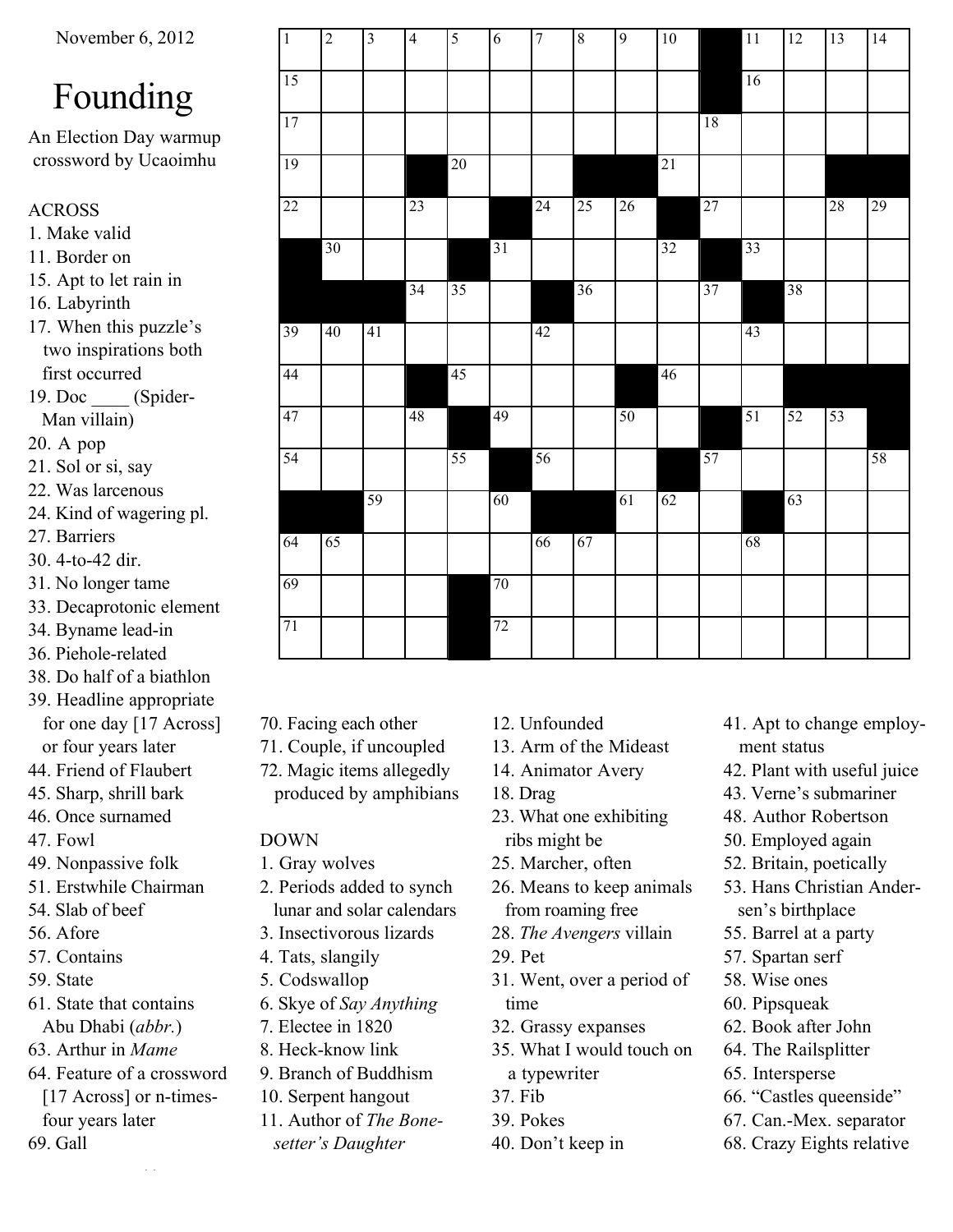# Founding

An Election Day warmup crossword by Ucaoimhu

# ACROSS

- 1. Make valid
- 11. Border on
- 15. Apt to let rain in
- 16. Labyrinth
- 17. When this puzzle's two inspirations both first occurred
- 19. Doc (Spider-Man villain)
- 20. A pop
- 21. Sol or si, say
- 22. Was larcenous
- 24. Kind of wagering pl.
- 27. Barriers
- 30. 4-to-42 dir.
- 31. No longer tame
- 33. Decaprotonic element
- 34. Byname lead-in
- 36. Piehole-related
- 38. Do half of a biathlon
- 39. Headline appropriate for one day [17 Across] or four years later
- 44. Friend of Flaubert
- 45. Sharp, shrill bark
- 46. Once surnamed
- 47. Fowl
- 49. Nonpassive folk
- 51. Erstwhile Chairman
- 54. Slab of beef
- 56. Afore
- 57. Contains
- 59. State
- 61. State that contains Abu Dhabi (*abbr.*)
- 63. Arthur in *Mame*
- 64. Feature of a crossword
- [17 Across] or n-times four years later 69. Gall

Bounding

| $\mathbf{1}$    | $\overline{c}$  | $\mathfrak{Z}$  | $\overline{4}$  | $\overline{\mathbf{5}}$ | 6               | $\tau$          | $8\,$           | $\overline{9}$  | 10              |                 | <b>11</b> | 12              | 13 | 14 |
|-----------------|-----------------|-----------------|-----------------|-------------------------|-----------------|-----------------|-----------------|-----------------|-----------------|-----------------|-----------|-----------------|----|----|
| $\overline{15}$ |                 |                 |                 |                         |                 |                 |                 |                 |                 |                 | 16        |                 |    |    |
| $\overline{17}$ |                 |                 |                 |                         |                 |                 |                 |                 |                 | 18              |           |                 |    |    |
| $\overline{19}$ |                 |                 |                 | $\overline{20}$         |                 |                 |                 |                 | $\overline{21}$ |                 |           |                 |    |    |
| $\overline{22}$ |                 |                 | 23              |                         |                 | $\overline{24}$ | $\overline{25}$ | $\overline{26}$ |                 | $\overline{27}$ |           |                 | 28 | 29 |
|                 | $\overline{30}$ |                 |                 |                         | $\overline{31}$ |                 |                 |                 | $\overline{32}$ |                 | 33        |                 |    |    |
|                 |                 |                 | $\overline{34}$ | $\overline{35}$         |                 |                 | $\overline{36}$ |                 |                 | 37              |           | $\overline{38}$ |    |    |
| 39              | 40              | $\overline{41}$ |                 |                         |                 | 42              |                 |                 |                 |                 | 43        |                 |    |    |
| 44              |                 |                 |                 | $\overline{45}$         |                 |                 |                 |                 | 46              |                 |           |                 |    |    |
| 47              |                 |                 | 48              |                         | 49              |                 |                 | 50              |                 |                 | 51        | $\overline{52}$ | 53 |    |
| $\overline{54}$ |                 |                 |                 | 55                      |                 | 56              |                 |                 |                 | 57              |           |                 |    | 58 |
|                 |                 | 59              |                 |                         | 60              |                 |                 | $\overline{61}$ | 62              |                 |           | 63              |    |    |
| 64              | 65              |                 |                 |                         |                 | 66              | 67              |                 |                 |                 | 68        |                 |    |    |
| 69              |                 |                 |                 |                         | $\overline{70}$ |                 |                 |                 |                 |                 |           |                 |    |    |
| $\overline{71}$ |                 |                 |                 |                         | $\overline{72}$ |                 |                 |                 |                 |                 |           |                 |    |    |
|                 |                 |                 |                 |                         |                 |                 |                 |                 |                 |                 |           |                 |    |    |

- 70. Facing each other
- 71. Couple, if uncoupled
- 72. Magic items allegedly produced by amphibians

## DOWN

- 1. Gray wolves
- 2. Periods added to synch lunar and solar calendars
- 3. Insectivorous lizards
- 4. Tats, slangily
- 5. Codswallop
- 6. Skye of *Say Anything*
- 7. Electee in 1820
- 8. Heck-know link
- 9. Branch of Buddhism
- 10. Serpent hangout
- 11. Author of *The Bone*
	- *setter's Daughter*
- 12. Unfounded
- 13. Arm of the Mideast
- 14. Animator Avery
- 18. Drag
- 23. What one exhibiting ribs might be
- 25. Marcher, often
- 26. Means to keep animals from roaming free
- 28. *The Avengers* villain
- 29. Pet
- 31. Went, over a period of time
- 32. Grassy expanses
- 35. What I would touch on a typewriter
- 37. Fib
- 39. Pokes
- 40. Don't keep in
- 41. Apt to change employ ment status
- 42. Plant with useful juice
- 43. Verne's submariner
- 48. Author Robertson
- 50. Employed again
- 52. Britain, poetically
- 53. Hans Christian Ander sen's birthplace
- 55. Barrel at a party
- 57. Spartan serf
- 58. Wise ones
- 60. Pipsqueak
- 62. Book after John
- 64. The Railsplitter
- 65. Intersperse
- 66. "Castles queenside"
- 67. Can.-Mex. separator
- 68. Crazy Eights relative